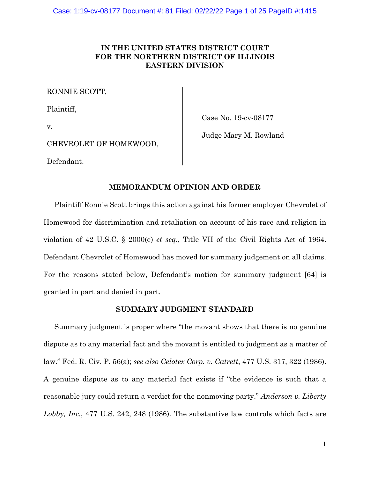# **IN THE UNITED STATES DISTRICT COURT FOR THE NORTHERN DISTRICT OF ILLINOIS EASTERN DIVISION**

RONNIE SCOTT,

Plaintiff,

Case No. 19-cv-08177

v.

Judge Mary M. Rowland

CHEVROLET OF HOMEWOOD,

Defendant.

# **MEMORANDUM OPINION AND ORDER**

Plaintiff Ronnie Scott brings this action against his former employer Chevrolet of Homewood for discrimination and retaliation on account of his race and religion in violation of 42 U.S.C. § 2000(e) *et seq.*, Title VII of the Civil Rights Act of 1964. Defendant Chevrolet of Homewood has moved for summary judgement on all claims. For the reasons stated below, Defendant's motion for summary judgment [64] is granted in part and denied in part.

## **SUMMARY JUDGMENT STANDARD**

Summary judgment is proper where "the movant shows that there is no genuine dispute as to any material fact and the movant is entitled to judgment as a matter of law." Fed. R. Civ. P. 56(a); *see also Celotex Corp. v. Catrett*, 477 U.S. 317, 322 (1986). A genuine dispute as to any material fact exists if "the evidence is such that a reasonable jury could return a verdict for the nonmoving party." *Anderson v. Liberty Lobby, Inc.*, 477 U.S. 242, 248 (1986). The substantive law controls which facts are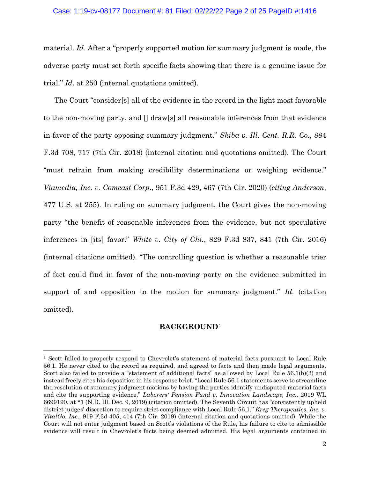#### Case: 1:19-cv-08177 Document #: 81 Filed: 02/22/22 Page 2 of 25 PageID #:1416

material. *Id*. After a "properly supported motion for summary judgment is made, the adverse party must set forth specific facts showing that there is a genuine issue for trial." *Id*. at 250 (internal quotations omitted).

The Court "consider[s] all of the evidence in the record in the light most favorable to the non-moving party, and [] draw[s] all reasonable inferences from that evidence in favor of the party opposing summary judgment." *Skiba v. Ill. Cent. R.R. Co.*, 884 F.3d 708, 717 (7th Cir. 2018) (internal citation and quotations omitted). The Court "must refrain from making credibility determinations or weighing evidence." *Viamedia, Inc. v. Comcast Corp*., 951 F.3d 429, 467 (7th Cir. 2020) (*citing Anderson*, 477 U.S. at 255). In ruling on summary judgment, the Court gives the non-moving party "the benefit of reasonable inferences from the evidence, but not speculative inferences in [its] favor." *White v. City of Chi.*, 829 F.3d 837, 841 (7th Cir. 2016) (internal citations omitted). "The controlling question is whether a reasonable trier of fact could find in favor of the non-moving party on the evidence submitted in support of and opposition to the motion for summary judgment." *Id*. (citation omitted).

# **BACKGROUND**[1](#page-1-0)

<span id="page-1-0"></span><sup>1</sup> Scott failed to properly respond to Chevrolet's statement of material facts pursuant to Local Rule 56.1. He never cited to the record as required, and agreed to facts and then made legal arguments. Scott also failed to provide a "statement of additional facts" as allowed by Local Rule 56.1(b)(3) and instead freely cites his deposition in his response brief. "Local Rule 56.1 statements serve to streamline the resolution of summary judgment motions by having the parties identify undisputed material facts and cite the supporting evidence." *Laborers' Pension Fund v. Innovation Landscape, Inc.,* 2019 WL 6699190, at \*1 (N.D. Ill. Dec. 9, 2019) (citation omitted). The Seventh Circuit has "consistently upheld district judges' discretion to require strict compliance with Local Rule 56.1." *Kreg Therapeutics, Inc. v. VitalGo, Inc*., 919 F.3d 405, 414 (7th Cir. 2019) (internal citation and quotations omitted). While the Court will not enter judgment based on Scott's violations of the Rule, his failure to cite to admissible evidence will result in Chevrolet's facts being deemed admitted. His legal arguments contained in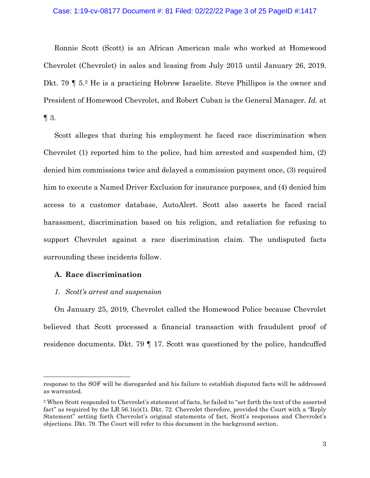#### Case: 1:19-cv-08177 Document #: 81 Filed: 02/22/22 Page 3 of 25 PageID #:1417

Ronnie Scott (Scott) is an African American male who worked at Homewood Chevrolet (Chevrolet) in sales and leasing from July 2015 until January 26, 2019. Dkt. 79 ¶ 5.[2](#page-2-0) He is a practicing Hebrew Israelite. Steve Phillipos is the owner and President of Homewood Chevrolet, and Robert Cuban is the General Manager. *Id.* at  $\P$  3.

Scott alleges that during his employment he faced race discrimination when Chevrolet (1) reported him to the police, had him arrested and suspended him, (2) denied him commissions twice and delayed a commission payment once, (3) required him to execute a Named Driver Exclusion for insurance purposes, and (4) denied him access to a customer database, AutoAlert. Scott also asserts he faced racial harassment, discrimination based on his religion, and retaliation for refusing to support Chevrolet against a race discrimination claim. The undisputed facts surrounding these incidents follow.

## **A. Race discrimination**

## *1. Scott's arrest and suspension*

On January 25, 2019, Chevrolet called the Homewood Police because Chevrolet believed that Scott processed a financial transaction with fraudulent proof of residence documents. Dkt. 79 ¶ 17. Scott was questioned by the police, handcuffed

response to the SOF will be disregarded and his failure to establish disputed facts will be addressed as warranted.

<span id="page-2-0"></span><sup>2</sup> When Scott responded to Chevrolet's statement of facts, he failed to "set forth the text of the asserted fact" as required by the LR 56.1(e)(1). Dkt. 72. Chevrolet therefore, provided the Court with a "Reply Statement" setting forth Chevrolet's original statements of fact, Scott's responses and Chevrolet's objections. Dkt. 79. The Court will refer to this document in the background section.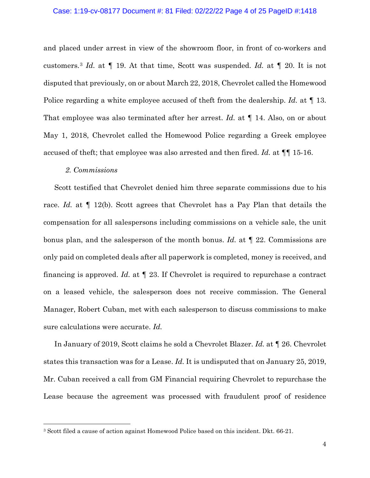#### Case: 1:19-cv-08177 Document #: 81 Filed: 02/22/22 Page 4 of 25 PageID #:1418

and placed under arrest in view of the showroom floor, in front of co-workers and customers.[3](#page-3-0) *Id.* at *¶* 19. At that time, Scott was suspended. *Id.* at *¶* 20. It is not disputed that previously, on or about March 22, 2018, Chevrolet called the Homewood Police regarding a white employee accused of theft from the dealership. *Id.* at *¶* 13. That employee was also terminated after her arrest. *Id.* at *¶* 14. Also, on or about May 1, 2018, Chevrolet called the Homewood Police regarding a Greek employee accused of theft; that employee was also arrested and then fired. *Id.* at *¶*¶ 15-16.

### *2. Commissions*

Scott testified that Chevrolet denied him three separate commissions due to his race. *Id.* at *¶* 12(b). Scott agrees that Chevrolet has a Pay Plan that details the compensation for all salespersons including commissions on a vehicle sale, the unit bonus plan, and the salesperson of the month bonus. *Id.* at *¶* 22. Commissions are only paid on completed deals after all paperwork is completed, money is received, and financing is approved. *Id.* at *¶* 23. If Chevrolet is required to repurchase a contract on a leased vehicle, the salesperson does not receive commission. The General Manager, Robert Cuban, met with each salesperson to discuss commissions to make sure calculations were accurate. *Id.* 

In January of 2019, Scott claims he sold a Chevrolet Blazer. *Id.* at *¶* 26. Chevrolet states this transaction was for a Lease. *Id.* It is undisputed that on January 25, 2019, Mr. Cuban received a call from GM Financial requiring Chevrolet to repurchase the Lease because the agreement was processed with fraudulent proof of residence

<span id="page-3-0"></span><sup>3</sup> Scott filed a cause of action against Homewood Police based on this incident. Dkt. 66-21.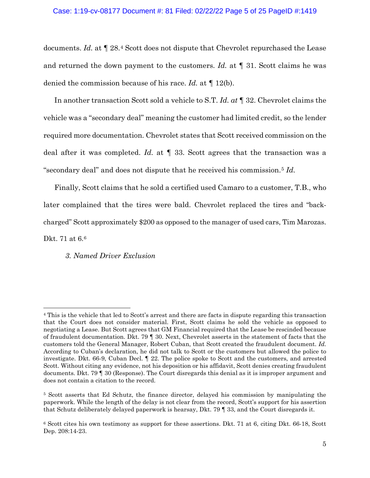#### Case: 1:19-cv-08177 Document #: 81 Filed: 02/22/22 Page 5 of 25 PageID #:1419

documents. *Id.* at *¶* 28.[4](#page-4-0) Scott does not dispute that Chevrolet repurchased the Lease and returned the down payment to the customers. *Id.* at *¶* 31. Scott claims he was denied the commission because of his race. *Id.* at *¶* 12(b).

In another transaction Scott sold a vehicle to S.T. *Id. at ¶* 32. Chevrolet claims the vehicle was a "secondary deal" meaning the customer had limited credit, so the lender required more documentation. Chevrolet states that Scott received commission on the deal after it was completed. *Id.* at *¶* 33. Scott agrees that the transaction was a "secondary deal" and does not dispute that he received his commission.[5](#page-4-1) *Id.*

Finally, Scott claims that he sold a certified used Camaro to a customer, T.B., who later complained that the tires were bald. Chevrolet replaced the tires and "backcharged" Scott approximately \$200 as opposed to the manager of used cars, Tim Marozas. Dkt. 71 at 6.[6](#page-4-2)

*3. Named Driver Exclusion* 

<span id="page-4-0"></span><sup>4</sup> This is the vehicle that led to Scott's arrest and there are facts in dispute regarding this transaction that the Court does not consider material. First, Scott claims he sold the vehicle as opposed to negotiating a Lease. But Scott agrees that GM Financial required that the Lease be rescinded because of fraudulent documentation. Dkt. 79 ¶ 30. Next, Chevrolet asserts in the statement of facts that the customers told the General Manager, Robert Cuban, that Scott created the fraudulent document. *Id.* According to Cuban's declaration, he did not talk to Scott or the customers but allowed the police to investigate. Dkt. 66-9, Cuban Decl. ¶ 22. The police spoke to Scott and the customers, and arrested Scott. Without citing any evidence, not his deposition or his affidavit, Scott denies creating fraudulent documents. Dkt. 79 ¶ 30 (Response). The Court disregards this denial as it is improper argument and does not contain a citation to the record.

<span id="page-4-1"></span><sup>5</sup> Scott asserts that Ed Schutz, the finance director, delayed his commission by manipulating the paperwork. While the length of the delay is not clear from the record, Scott's support for his assertion that Schutz deliberately delayed paperwork is hearsay, Dkt. 79 ¶ 33, and the Court disregards it.

<span id="page-4-2"></span><sup>6</sup> Scott cites his own testimony as support for these assertions. Dkt. 71 at 6, citing Dkt. 66-18, Scott Dep. 208:14-23.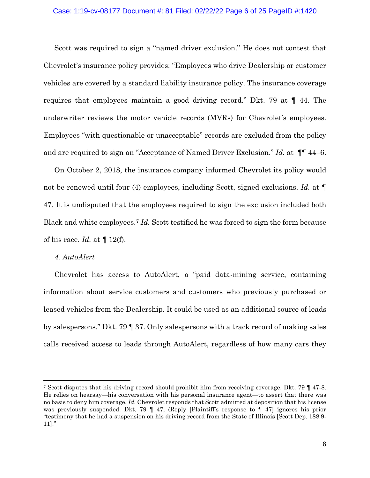# Case: 1:19-cv-08177 Document #: 81 Filed: 02/22/22 Page 6 of 25 PageID #:1420

Scott was required to sign a "named driver exclusion." He does not contest that Chevrolet's insurance policy provides: "Employees who drive Dealership or customer vehicles are covered by a standard liability insurance policy. The insurance coverage requires that employees maintain a good driving record." Dkt. 79 at ¶ 44. The underwriter reviews the motor vehicle records (MVRs) for Chevrolet's employees. Employees "with questionable or unacceptable" records are excluded from the policy and are required to sign an "Acceptance of Named Driver Exclusion." *Id.* at ¶¶ 44–6.

On October 2, 2018, the insurance company informed Chevrolet its policy would not be renewed until four (4) employees, including Scott, signed exclusions. *Id.* at *¶* 47. It is undisputed that the employees required to sign the exclusion included both Black and white employees.[7](#page-5-0) *Id.* Scott testified he was forced to sign the form because of his race. *Id.* at *¶* 12(f).

### *4. AutoAlert*

Chevrolet has access to AutoAlert, a "paid data-mining service, containing information about service customers and customers who previously purchased or leased vehicles from the Dealership. It could be used as an additional source of leads by salespersons." Dkt. 79 ¶ 37. Only salespersons with a track record of making sales calls received access to leads through AutoAlert, regardless of how many cars they

<span id="page-5-0"></span><sup>7</sup> Scott disputes that his driving record should prohibit him from receiving coverage. Dkt. 79 ¶ 47-8. He relies on hearsay—his conversation with his personal insurance agent—to assert that there was no basis to deny him coverage. *Id.* Chevrolet responds that Scott admitted at deposition that his license was previously suspended. Dkt. 79  $\parallel$  47, (Reply [Plaintiff's response to  $\parallel$  47] ignores his prior "testimony that he had a suspension on his driving record from the State of Illinois [Scott Dep. 188:9- 11]."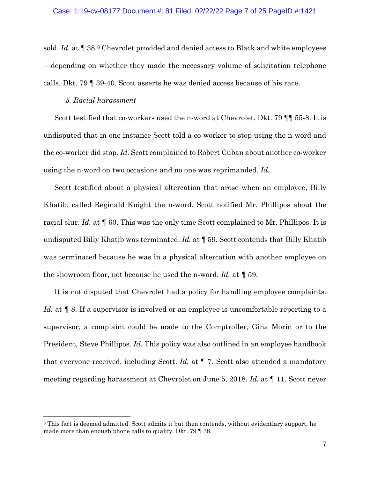sold. *Id.* at *¶* 38.[8](#page-6-0) Chevrolet provided and denied access to Black and white employees —depending on whether they made the necessary volume of solicitation telephone calls. Dkt. 79 ¶ 39-40. Scott asserts he was denied access because of his race.

## *5. Racial harassment*

Scott testified that co-workers used the n-word at Chevrolet. Dkt. 79  $\P$  55-8. It is undisputed that in one instance Scott told a co-worker to stop using the n-word and the co-worker did stop. *Id.* Scott complained to Robert Cuban about another co-worker using the n-word on two occasions and no one was reprimanded. *Id.*

Scott testified about a physical altercation that arose when an employee, Billy Khatib, called Reginald Knight the n-word. Scott notified Mr. Phillipos about the racial slur. *Id.* at *¶* 60. This was the only time Scott complained to Mr. Phillipos. It is undisputed Billy Khatib was terminated. *Id.* at ¶ 59. Scott contends that Billy Khatib was terminated because he was in a physical altercation with another employee on the showroom floor, not because he used the n-word. *Id.* at *¶* 59.

It is not disputed that Chevrolet had a policy for handling employee complaints. *Id.* at *¶* 8. If a supervisor is involved or an employee is uncomfortable reporting to a supervisor, a complaint could be made to the Comptroller, Gina Morin or to the President, Steve Phillipos. *Id.* This policy was also outlined in an employee handbook that everyone received, including Scott. *Id.* at *¶* 7. Scott also attended a mandatory meeting regarding harassment at Chevrolet on June 5, 2018. *Id.* at *¶* 11. Scott never

<span id="page-6-0"></span><sup>&</sup>lt;sup>8</sup> This fact is deemed admitted. Scott admits it but then contends, without evidentiary support, he made more than enough phone calls to qualify. Dkt. 79 ¶ 38.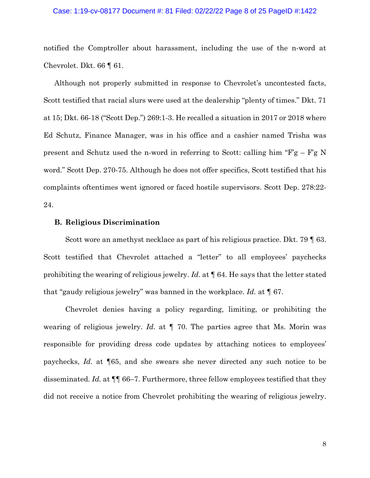#### Case: 1:19-cv-08177 Document #: 81 Filed: 02/22/22 Page 8 of 25 PageID #:1422

notified the Comptroller about harassment, including the use of the n-word at Chevrolet. Dkt. 66 ¶ 61.

Although not properly submitted in response to Chevrolet's uncontested facts, Scott testified that racial slurs were used at the dealership "plenty of times." Dkt. 71 at 15; Dkt. 66-18 ("Scott Dep.") 269:1-3. He recalled a situation in 2017 or 2018 where Ed Schutz, Finance Manager, was in his office and a cashier named Trisha was present and Schutz used the n-word in referring to Scott: calling him " $F'g - F'g$  N word." Scott Dep. 270-75. Although he does not offer specifics, Scott testified that his complaints oftentimes went ignored or faced hostile supervisors. Scott Dep. 278:22- 24.

## **B. Religious Discrimination**

Scott wore an amethyst necklace as part of his religious practice. Dkt. 79 | 63. Scott testified that Chevrolet attached a "letter" to all employees' paychecks prohibiting the wearing of religious jewelry. *Id.* at ¶ 64. He says that the letter stated that "gaudy religious jewelry" was banned in the workplace. *Id.* at ¶ 67.

Chevrolet denies having a policy regarding, limiting, or prohibiting the wearing of religious jewelry. *Id.* at ¶ 70. The parties agree that Ms. Morin was responsible for providing dress code updates by attaching notices to employees' paychecks, *Id.* at ¶65, and she swears she never directed any such notice to be disseminated. *Id.* at ¶¶ 66–7. Furthermore, three fellow employees testified that they did not receive a notice from Chevrolet prohibiting the wearing of religious jewelry.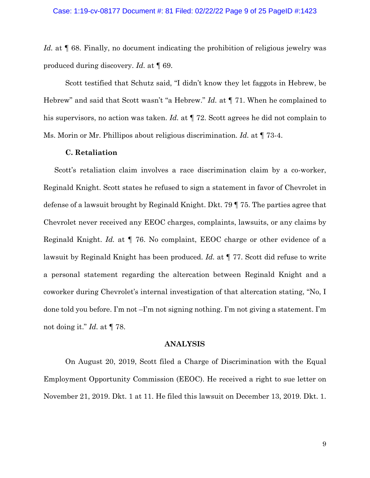*Id.* at  $\llbracket 68$ . Finally, no document indicating the prohibition of religious jewelry was produced during discovery. *Id.* at ¶ 69.

Scott testified that Schutz said, "I didn't know they let faggots in Hebrew, be Hebrew" and said that Scott wasn't "a Hebrew." *Id.* at ¶ 71. When he complained to his supervisors, no action was taken. *Id.* at  $\P$  72. Scott agrees he did not complain to Ms. Morin or Mr. Phillipos about religious discrimination. *Id.* at ¶ 73-4.

### **C. Retaliation**

Scott's retaliation claim involves a race discrimination claim by a co-worker, Reginald Knight. Scott states he refused to sign a statement in favor of Chevrolet in defense of a lawsuit brought by Reginald Knight. Dkt. 79 ¶ 75. The parties agree that Chevrolet never received any EEOC charges, complaints, lawsuits, or any claims by Reginald Knight. *Id.* at ¶ 76. No complaint, EEOC charge or other evidence of a lawsuit by Reginald Knight has been produced. *Id.* at ¶ 77. Scott did refuse to write a personal statement regarding the altercation between Reginald Knight and a coworker during Chevrolet's internal investigation of that altercation stating, "No, I done told you before. I'm not –I'm not signing nothing. I'm not giving a statement. I'm not doing it." *Id.* at ¶ 78.

### **ANALYSIS**

On August 20, 2019, Scott filed a Charge of Discrimination with the Equal Employment Opportunity Commission (EEOC). He received a right to sue letter on November 21, 2019. Dkt. 1 at 11. He filed this lawsuit on December 13, 2019. Dkt. 1.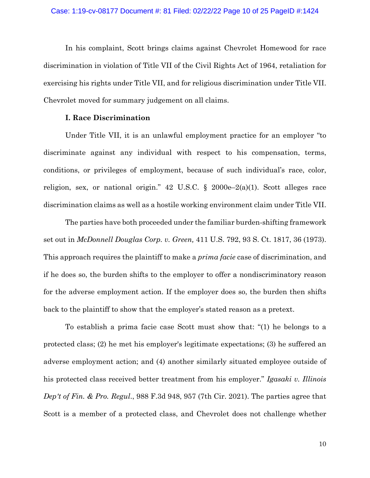In his complaint, Scott brings claims against Chevrolet Homewood for race discrimination in violation of Title VII of the Civil Rights Act of 1964, retaliation for exercising his rights under Title VII, and for religious discrimination under Title VII. Chevrolet moved for summary judgement on all claims.

### **I. Race Discrimination**

Under Title VII, it is an unlawful employment practice for an employer "to discriminate against any individual with respect to his compensation, terms, conditions, or privileges of employment, because of such individual's race, color, religion, sex, or national origin." 42 U.S.C.  $\S$  2000e–2(a)(1). Scott alleges race discrimination claims as well as a hostile working environment claim under Title VII.

The parties have both proceeded under the familiar burden-shifting framework set out in *McDonnell Douglas Corp. v. Green,* 411 U.S. 792, 93 S. Ct. 1817, 36 (1973). This approach requires the plaintiff to make a *prima facie* case of discrimination, and if he does so, the burden shifts to the employer to offer a nondiscriminatory reason for the adverse employment action. If the employer does so, the burden then shifts back to the plaintiff to show that the employer's stated reason as a pretext.

To establish a prima facie case Scott must show that: "(1) he belongs to a protected class; (2) he met his employer's legitimate expectations; (3) he suffered an adverse employment action; and (4) another similarly situated employee outside of his protected class received better treatment from his employer." *Igasaki v. Illinois Dep't of Fin. & Pro. Regul*., 988 F.3d 948, 957 (7th Cir. 2021). The parties agree that Scott is a member of a protected class, and Chevrolet does not challenge whether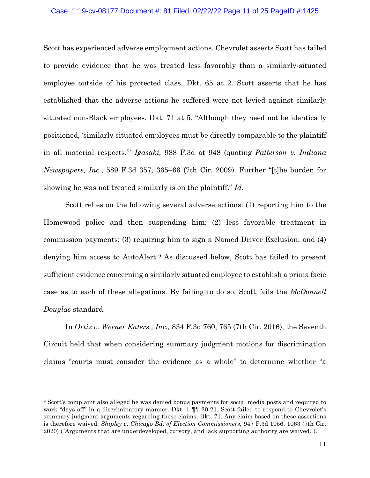#### Case: 1:19-cv-08177 Document #: 81 Filed: 02/22/22 Page 11 of 25 PageID #:1425

Scott has experienced adverse employment actions. Chevrolet asserts Scott has failed to provide evidence that he was treated less favorably than a similarly-situated employee outside of his protected class. Dkt. 65 at 2. Scott asserts that he has established that the adverse actions he suffered were not levied against similarly situated non-Black employees. Dkt. 71 at 5. "Although they need not be identically positioned, 'similarly situated employees must be directly comparable to the plaintiff in all material respects.'" *Igasaki,* 988 F.3d at 948 (quoting *Patterson v. Indiana Newspapers, Inc.*, 589 F.3d 357, 365–66 (7th Cir. 2009). Further "[t]he burden for showing he was not treated similarly is on the plaintiff." *Id.*

Scott relies on the following several adverse actions: (1) reporting him to the Homewood police and then suspending him; (2) less favorable treatment in commission payments; (3) requiring him to sign a Named Driver Exclusion; and (4) denying him access to AutoAlert.[9](#page-10-0) As discussed below, Scott has failed to present sufficient evidence concerning a similarly situated employee to establish a prima facie case as to each of these allegations. By failing to do so, Scott fails the *McDonnell Douglas* standard.

In *Ortiz v. Werner Enters., Inc.,* 834 F.3d 760, 765 (7th Cir. 2016), the Seventh Circuit held that when considering summary judgment motions for discrimination claims "courts must consider the evidence as a whole" to determine whether "a

<span id="page-10-0"></span><sup>9</sup> Scott's complaint also alleged he was denied bonus payments for social media posts and required to work "days off" in a discriminatory manner. Dkt. 1  $\P$  20-21. Scott failed to respond to Chevrolet's summary judgment arguments regarding these claims. Dkt. 71. Any claim based on these assertions is therefore waived. *Shipley v. Chicago Bd. of Election Commissioners,* 947 F.3d 1056, 1063 (7th Cir. 2020) ("Arguments that are underdeveloped, cursory, and lack supporting authority are waived.").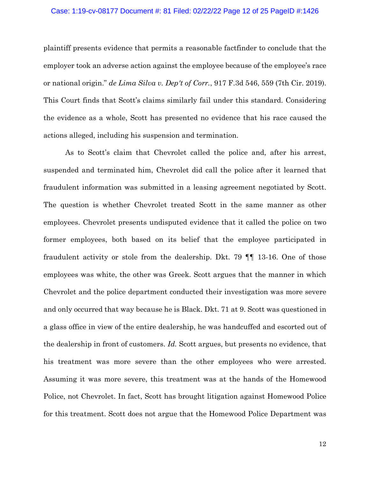#### Case: 1:19-cv-08177 Document #: 81 Filed: 02/22/22 Page 12 of 25 PageID #:1426

plaintiff presents evidence that permits a reasonable factfinder to conclude that the employer took an adverse action against the employee because of the employee's race or national origin." *de Lima Silva v. Dep't of Corr.*, 917 F.3d 546, 559 (7th Cir. 2019). This Court finds that Scott's claims similarly fail under this standard. Considering the evidence as a whole, Scott has presented no evidence that his race caused the actions alleged, including his suspension and termination.

As to Scott's claim that Chevrolet called the police and, after his arrest, suspended and terminated him, Chevrolet did call the police after it learned that fraudulent information was submitted in a leasing agreement negotiated by Scott. The question is whether Chevrolet treated Scott in the same manner as other employees. Chevrolet presents undisputed evidence that it called the police on two former employees, both based on its belief that the employee participated in fraudulent activity or stole from the dealership. Dkt. 79 ¶¶ 13-16. One of those employees was white, the other was Greek. Scott argues that the manner in which Chevrolet and the police department conducted their investigation was more severe and only occurred that way because he is Black. Dkt. 71 at 9. Scott was questioned in a glass office in view of the entire dealership, he was handcuffed and escorted out of the dealership in front of customers. *Id.* Scott argues, but presents no evidence, that his treatment was more severe than the other employees who were arrested. Assuming it was more severe, this treatment was at the hands of the Homewood Police, not Chevrolet. In fact, Scott has brought litigation against Homewood Police for this treatment. Scott does not argue that the Homewood Police Department was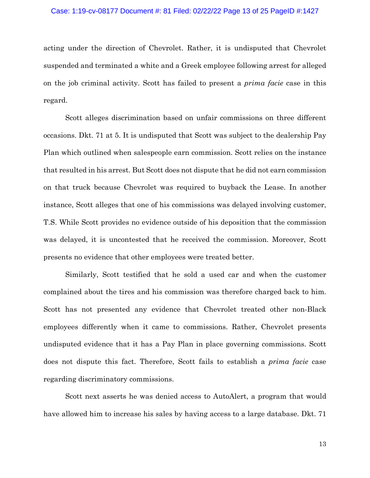#### Case: 1:19-cv-08177 Document #: 81 Filed: 02/22/22 Page 13 of 25 PageID #:1427

acting under the direction of Chevrolet. Rather, it is undisputed that Chevrolet suspended and terminated a white and a Greek employee following arrest for alleged on the job criminal activity. Scott has failed to present a *prima facie* case in this regard.

Scott alleges discrimination based on unfair commissions on three different occasions. Dkt. 71 at 5. It is undisputed that Scott was subject to the dealership Pay Plan which outlined when salespeople earn commission. Scott relies on the instance that resulted in his arrest. But Scott does not dispute that he did not earn commission on that truck because Chevrolet was required to buyback the Lease. In another instance, Scott alleges that one of his commissions was delayed involving customer, T.S. While Scott provides no evidence outside of his deposition that the commission was delayed, it is uncontested that he received the commission. Moreover, Scott presents no evidence that other employees were treated better.

Similarly, Scott testified that he sold a used car and when the customer complained about the tires and his commission was therefore charged back to him. Scott has not presented any evidence that Chevrolet treated other non-Black employees differently when it came to commissions. Rather, Chevrolet presents undisputed evidence that it has a Pay Plan in place governing commissions. Scott does not dispute this fact. Therefore, Scott fails to establish a *prima facie* case regarding discriminatory commissions.

Scott next asserts he was denied access to AutoAlert, a program that would have allowed him to increase his sales by having access to a large database. Dkt. 71

13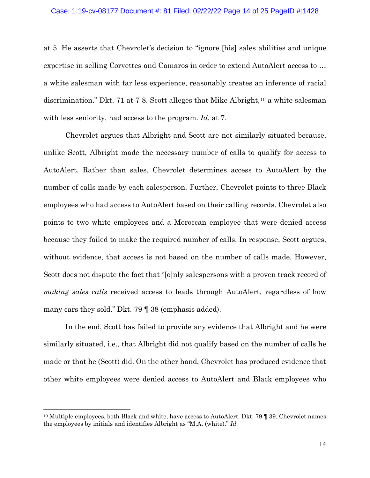at 5. He asserts that Chevrolet's decision to "ignore [his] sales abilities and unique expertise in selling Corvettes and Camaros in order to extend AutoAlert access to … a white salesman with far less experience, reasonably creates an inference of racial discrimination." Dkt. 71 at 7-8. Scott alleges that Mike Albright,<sup>[10](#page-13-0)</sup> a white salesman with less seniority, had access to the program. *Id.* at 7.

Chevrolet argues that Albright and Scott are not similarly situated because, unlike Scott, Albright made the necessary number of calls to qualify for access to AutoAlert. Rather than sales, Chevrolet determines access to AutoAlert by the number of calls made by each salesperson. Further, Chevrolet points to three Black employees who had access to AutoAlert based on their calling records. Chevrolet also points to two white employees and a Moroccan employee that were denied access because they failed to make the required number of calls. In response, Scott argues, without evidence, that access is not based on the number of calls made. However, Scott does not dispute the fact that "[o]nly salespersons with a proven track record of *making sales calls* received access to leads through AutoAlert, regardless of how many cars they sold." Dkt. 79 ¶ 38 (emphasis added).

In the end, Scott has failed to provide any evidence that Albright and he were similarly situated, i.e., that Albright did not qualify based on the number of calls he made or that he (Scott) did. On the other hand, Chevrolet has produced evidence that other white employees were denied access to AutoAlert and Black employees who

<span id="page-13-0"></span><sup>&</sup>lt;sup>10</sup> Multiple employees, both Black and white, have access to AutoAlert. Dkt. 79  $\parallel$  39. Chevrolet names the employees by initials and identifies Albright as "M.A. (white)." *Id.*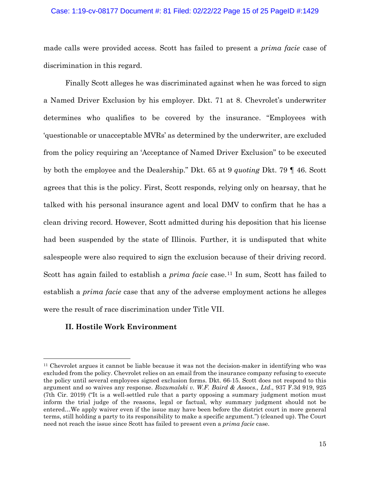#### Case: 1:19-cv-08177 Document #: 81 Filed: 02/22/22 Page 15 of 25 PageID #:1429

made calls were provided access. Scott has failed to present a *prima facie* case of discrimination in this regard.

Finally Scott alleges he was discriminated against when he was forced to sign a Named Driver Exclusion by his employer. Dkt. 71 at 8. Chevrolet's underwriter determines who qualifies to be covered by the insurance. "Employees with 'questionable or unacceptable MVRs' as determined by the underwriter, are excluded from the policy requiring an 'Acceptance of Named Driver Exclusion" to be executed by both the employee and the Dealership." Dkt. 65 at 9 *quoting* Dkt. 79 ¶ 46. Scott agrees that this is the policy. First, Scott responds, relying only on hearsay, that he talked with his personal insurance agent and local DMV to confirm that he has a clean driving record. However, Scott admitted during his deposition that his license had been suspended by the state of Illinois. Further, it is undisputed that white salespeople were also required to sign the exclusion because of their driving record. Scott has again failed to establish a *prima facie* case.<sup>[11](#page-14-0)</sup> In sum, Scott has failed to establish a *prima facie* case that any of the adverse employment actions he alleges were the result of race discrimination under Title VII.

## **II. Hostile Work Environment**

<span id="page-14-0"></span><sup>11</sup> Chevrolet argues it cannot be liable because it was not the decision-maker in identifying who was excluded from the policy. Chevrolet relies on an email from the insurance company refusing to execute the policy until several employees signed exclusion forms. Dkt. 66-15. Scott does not respond to this argument and so waives any response. *Rozumalski v. W.F. Baird & Assocs., Ltd*., 937 F.3d 919, 925 (7th Cir. 2019) ("It is a well-settled rule that a party opposing a summary judgment motion must inform the trial judge of the reasons, legal or factual, why summary judgment should not be entered…We apply waiver even if the issue may have been before the district court in more general terms, still holding a party to its responsibility to make a specific argument.") (cleaned up). The Court need not reach the issue since Scott has failed to present even a *prima facie* case.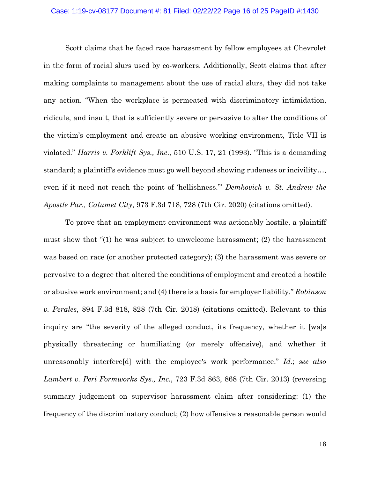#### Case: 1:19-cv-08177 Document #: 81 Filed: 02/22/22 Page 16 of 25 PageID #:1430

Scott claims that he faced race harassment by fellow employees at Chevrolet in the form of racial slurs used by co-workers. Additionally, Scott claims that after making complaints to management about the use of racial slurs, they did not take any action. "When the workplace is permeated with discriminatory intimidation, ridicule, and insult, that is sufficiently severe or pervasive to alter the conditions of the victim's employment and create an abusive working environment, Title VII is violated." *Harris v. Forklift Sys., Inc*., 510 U.S. 17, 21 (1993). "This is a demanding standard; a plaintiff's evidence must go well beyond showing rudeness or incivility…, even if it need not reach the point of 'hellishness.'" *Demkovich v. St. Andrew the Apostle Par., Calumet City*, 973 F.3d 718, 728 (7th Cir. 2020) (citations omitted).

To prove that an employment environment was actionably hostile, a plaintiff must show that "(1) he was subject to unwelcome harassment; (2) the harassment was based on race (or another protected category); (3) the harassment was severe or pervasive to a degree that altered the conditions of employment and created a hostile or abusive work environment; and (4) there is a basis for employer liability." *Robinson v. Perales*, 894 F.3d 818, 828 (7th Cir. 2018) (citations omitted). Relevant to this inquiry are "the severity of the alleged conduct, its frequency, whether it [wa]s physically threatening or humiliating (or merely offensive), and whether it unreasonably interfere[d] with the employee's work performance." *Id.*; *see also Lambert v. Peri Formworks Sys., Inc.*, 723 F.3d 863, 868 (7th Cir. 2013) (reversing summary judgement on supervisor harassment claim after considering: (1) the frequency of the discriminatory conduct; (2) how offensive a reasonable person would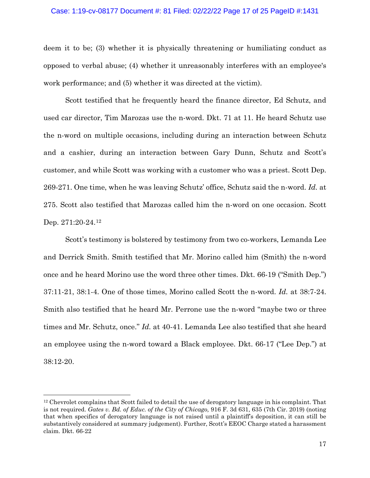#### Case: 1:19-cv-08177 Document #: 81 Filed: 02/22/22 Page 17 of 25 PageID #:1431

deem it to be; (3) whether it is physically threatening or humiliating conduct as opposed to verbal abuse; (4) whether it unreasonably interferes with an employee's work performance; and (5) whether it was directed at the victim).

Scott testified that he frequently heard the finance director, Ed Schutz, and used car director, Tim Marozas use the n-word. Dkt. 71 at 11. He heard Schutz use the n-word on multiple occasions, including during an interaction between Schutz and a cashier, during an interaction between Gary Dunn, Schutz and Scott's customer, and while Scott was working with a customer who was a priest. Scott Dep. 269-271. One time, when he was leaving Schutz' office, Schutz said the n-word. *Id.* at 275. Scott also testified that Marozas called him the n-word on one occasion. Scott Dep. 271:20-24.[12](#page-16-0)

Scott's testimony is bolstered by testimony from two co-workers, Lemanda Lee and Derrick Smith. Smith testified that Mr. Morino called him (Smith) the n-word once and he heard Morino use the word three other times. Dkt. 66-19 ("Smith Dep.") 37:11-21, 38:1-4. One of those times, Morino called Scott the n-word. *Id.* at 38:7-24. Smith also testified that he heard Mr. Perrone use the n-word "maybe two or three times and Mr. Schutz, once." *Id.* at 40-41. Lemanda Lee also testified that she heard an employee using the n-word toward a Black employee. Dkt. 66-17 ("Lee Dep.") at 38:12-20.

<span id="page-16-0"></span><sup>12</sup> Chevrolet complains that Scott failed to detail the use of derogatory language in his complaint. That is not required. *Gates v. Bd. of Educ. of the City of Chicago,* 916 F. 3d 631, 635 (7th Cir. 2019) (noting that when specifics of derogatory language is not raised until a plaintiff's deposition, it can still be substantively considered at summary judgement). Further, Scott's EEOC Charge stated a harassment claim. Dkt. 66-22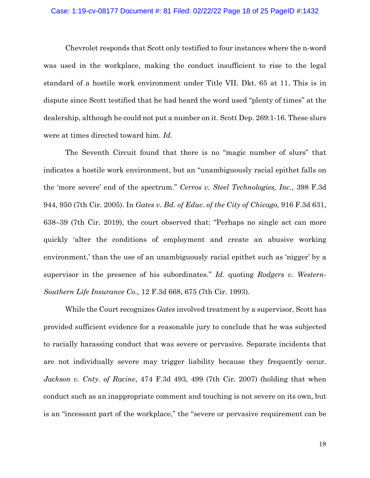# Case: 1:19-cv-08177 Document #: 81 Filed: 02/22/22 Page 18 of 25 PageID #:1432

Chevrolet responds that Scott only testified to four instances where the n-word was used in the workplace, making the conduct insufficient to rise to the legal standard of a hostile work environment under Title VII. Dkt. 65 at 11. This is in dispute since Scott testified that he had heard the word used "plenty of times" at the dealership, although he could not put a number on it. Scott Dep. 269:1-16. These slurs were at times directed toward him. *Id.* 

The Seventh Circuit found that there is no "magic number of slurs" that indicates a hostile work environment, but an "unambiguously racial epithet falls on the 'more severe' end of the spectrum." *Cerros v. Steel Technologies, Inc*., 398 F.3d 944, 950 (7th Cir. 2005). In *Gates v. Bd. of Educ. of the City of Chicago,* 916 F.3d 631, 638–39 (7th Cir. 2019), the court observed that: "Perhaps no single act can more quickly 'alter the conditions of employment and create an abusive working environment,' than the use of an unambiguously racial epithet such as 'nigger' by a supervisor in the presence of his subordinates." *Id.* quoting *Rodgers v. Western-Southern Life Insurance Co.,* 12 F.3d 668, 675 (7th Cir. 1993).

While the Court recognizes *Gates* involved treatment by a supervisor, Scott has provided sufficient evidence for a reasonable jury to conclude that he was subjected to racially harassing conduct that was severe or pervasive. Separate incidents that are not individually severe may trigger liability because they frequently occur. *Jackson v. Cnty. of Racine*, 474 F.3d 493, 499 (7th Cir. 2007) (holding that when conduct such as an inappropriate comment and touching is not severe on its own, but is an "incessant part of the workplace," the "severe or pervasive requirement can be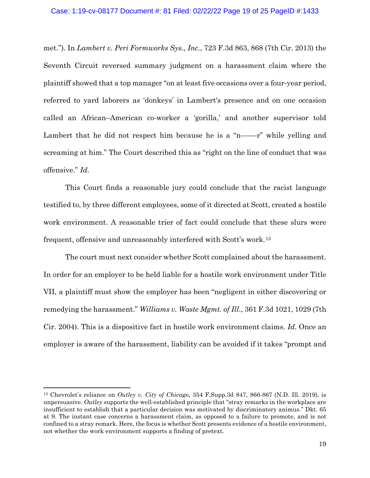#### Case: 1:19-cv-08177 Document #: 81 Filed: 02/22/22 Page 19 of 25 PageID #:1433

met."). In *Lambert v. Peri Formworks Sys., Inc*., 723 F.3d 863, 868 (7th Cir. 2013) the Seventh Circuit reversed summary judgment on a harassment claim where the plaintiff showed that a top manager "on at least five occasions over a four-year period, referred to yard laborers as 'donkeys' in Lambert's presence and on one occasion called an African–American co-worker a 'gorilla,' and another supervisor told Lambert that he did not respect him because he is a "n— $-r$ " while yelling and screaming at him." The Court described this as "right on the line of conduct that was offensive." *Id.*

This Court finds a reasonable jury could conclude that the racist language testified to, by three different employees, some of it directed at Scott, created a hostile work environment. A reasonable trier of fact could conclude that these slurs were frequent, offensive and unreasonably interfered with Scott's work.[13](#page-18-0)

The court must next consider whether Scott complained about the harassment. In order for an employer to be held liable for a hostile work environment under Title VII, a plaintiff must show the employer has been "negligent in either discovering or remedying the harassment." *Williams v. Waste Mgmt. of Ill*., 361 F.3d 1021, 1029 (7th Cir. 2004). This is a dispositive fact in hostile work environment claims. *Id.* Once an employer is aware of the harassment, liability can be avoided if it takes "prompt and

<span id="page-18-0"></span><sup>13</sup> Chevrolet's reliance on *Outley v. City of Chicago,* 354 F.Supp.3d 847, 866-867 (N.D. Ill. 2019), is unpersuasive. *Outley* supports the well-established principle that "stray remarks in the workplace are insufficient to establish that a particular decision was motivated by discriminatory animus." Dkt. 65 at 9. The instant case concerns a harassment claim, as opposed to a failure to promote, and is not confined to a stray remark. Here, the focus is whether Scott presents evidence of a hostile environment, not whether the work environment supports a finding of pretext.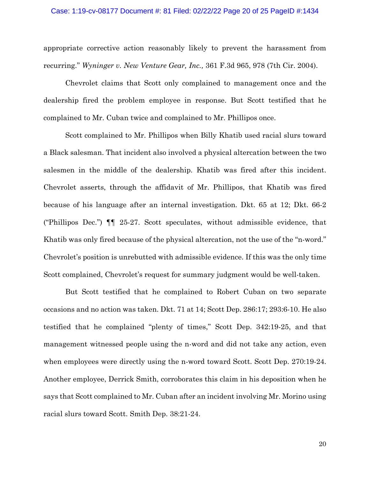appropriate corrective action reasonably likely to prevent the harassment from recurring." *Wyninger v. New Venture Gear, Inc.,* 361 F.3d 965, 978 (7th Cir. 2004).

Chevrolet claims that Scott only complained to management once and the dealership fired the problem employee in response. But Scott testified that he complained to Mr. Cuban twice and complained to Mr. Phillipos once.

Scott complained to Mr. Phillipos when Billy Khatib used racial slurs toward a Black salesman. That incident also involved a physical altercation between the two salesmen in the middle of the dealership. Khatib was fired after this incident. Chevrolet asserts, through the affidavit of Mr. Phillipos, that Khatib was fired because of his language after an internal investigation. Dkt. 65 at 12; Dkt. 66-2 ("Phillipos Dec.") ¶¶ 25-27. Scott speculates, without admissible evidence, that Khatib was only fired because of the physical altercation, not the use of the "n-word." Chevrolet's position is unrebutted with admissible evidence. If this was the only time Scott complained, Chevrolet's request for summary judgment would be well-taken.

But Scott testified that he complained to Robert Cuban on two separate occasions and no action was taken. Dkt. 71 at 14; Scott Dep. 286:17; 293:6-10. He also testified that he complained "plenty of times," Scott Dep. 342:19-25, and that management witnessed people using the n-word and did not take any action, even when employees were directly using the n-word toward Scott. Scott Dep. 270:19-24. Another employee, Derrick Smith, corroborates this claim in his deposition when he says that Scott complained to Mr. Cuban after an incident involving Mr. Morino using racial slurs toward Scott. Smith Dep. 38:21-24.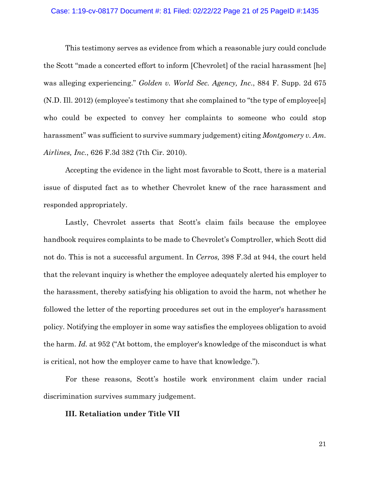# Case: 1:19-cv-08177 Document #: 81 Filed: 02/22/22 Page 21 of 25 PageID #:1435

This testimony serves as evidence from which a reasonable jury could conclude the Scott "made a concerted effort to inform [Chevrolet] of the racial harassment [he] was alleging experiencing." *Golden v. World Sec. Agency, Inc*., 884 F. Supp. 2d 675 (N.D. Ill. 2012) (employee's testimony that she complained to "the type of employee[s] who could be expected to convey her complaints to someone who could stop harassment" was sufficient to survive summary judgement) citing *Montgomery v. Am. Airlines, Inc.*, 626 F.3d 382 (7th Cir. 2010).

Accepting the evidence in the light most favorable to Scott, there is a material issue of disputed fact as to whether Chevrolet knew of the race harassment and responded appropriately.

Lastly, Chevrolet asserts that Scott's claim fails because the employee handbook requires complaints to be made to Chevrolet's Comptroller, which Scott did not do. This is not a successful argument. In *Cerros,* 398 F.3d at 944, the court held that the relevant inquiry is whether the employee adequately alerted his employer to the harassment, thereby satisfying his obligation to avoid the harm, not whether he followed the letter of the reporting procedures set out in the employer's harassment policy*.* Notifying the employer in some way satisfies the employees obligation to avoid the harm. *Id.* at 952 ("At bottom, the employer's knowledge of the misconduct is what is critical, not how the employer came to have that knowledge.").

For these reasons, Scott's hostile work environment claim under racial discrimination survives summary judgement.

### **III. Retaliation under Title VII**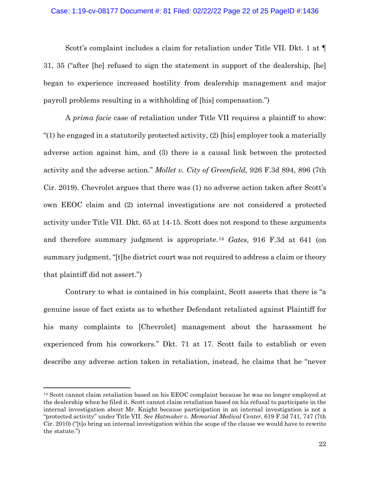#### Case: 1:19-cv-08177 Document #: 81 Filed: 02/22/22 Page 22 of 25 PageID #:1436

Scott's complaint includes a claim for retaliation under Title VII. Dkt. 1 at  $\P$ 31, 35 ("after [he] refused to sign the statement in support of the dealership, [he] began to experience increased hostility from dealership management and major payroll problems resulting in a withholding of [his] compensation.")

A *prima facie* case of retaliation under Title VII requires a plaintiff to show: "(1) he engaged in a statutorily protected activity, (2) [his] employer took a materially adverse action against him, and (3) there is a causal link between the protected activity and the adverse action." *Mollet v. City of Greenfield,* 926 F.3d 894, 896 (7th Cir. 2019)*.* Chevrolet argues that there was (1) no adverse action taken after Scott's own EEOC claim and (2) internal investigations are not considered a protected activity under Title VII. Dkt. 65 at 14-15. Scott does not respond to these arguments and therefore summary judgment is appropriate.[14](#page-21-0) *Gates*, 916 F.3d at 641 (on summary judgment, "[t]he district court was not required to address a claim or theory that plaintiff did not assert.")

Contrary to what is contained in his complaint, Scott asserts that there is "a genuine issue of fact exists as to whether Defendant retaliated against Plaintiff for his many complaints to [Chevrolet] management about the harassment he experienced from his coworkers." Dkt. 71 at 17. Scott fails to establish or even describe any adverse action taken in retaliation, instead, he claims that he "never

<span id="page-21-0"></span><sup>&</sup>lt;sup>14</sup> Scott cannot claim retaliation based on his EEOC complaint because he was no longer employed at the dealership when he filed it. Scott cannot claim retaliation based on his refusal to participate in the internal investigation about Mr. Knight because participation in an internal investigation is not a "protected activity" under Title VII. *See Hatmaker v. Memorial Medical Center,* 619 F.3d 741, 747 (7th Cir. 2010) ("[t]o bring an internal investigation within the scope of the clause we would have to rewrite the statute.")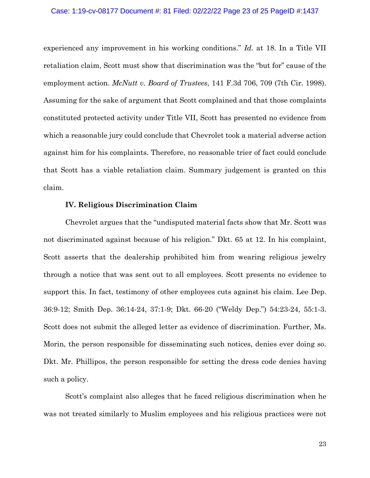#### Case: 1:19-cv-08177 Document #: 81 Filed: 02/22/22 Page 23 of 25 PageID #:1437

experienced any improvement in his working conditions." *Id.* at 18. In a Title VII retaliation claim, Scott must show that discrimination was the "but for" cause of the employment action. *McNutt v. Board of Trustees*, 141 F.3d 706, 709 (7th Cir. 1998). Assuming for the sake of argument that Scott complained and that those complaints constituted protected activity under Title VII, Scott has presented no evidence from which a reasonable jury could conclude that Chevrolet took a material adverse action against him for his complaints. Therefore, no reasonable trier of fact could conclude that Scott has a viable retaliation claim. Summary judgement is granted on this claim.

### **IV. Religious Discrimination Claim**

Chevrolet argues that the "undisputed material facts show that Mr. Scott was not discriminated against because of his religion." Dkt. 65 at 12. In his complaint, Scott asserts that the dealership prohibited him from wearing religious jewelry through a notice that was sent out to all employees. Scott presents no evidence to support this. In fact, testimony of other employees cuts against his claim. Lee Dep. 36:9-12; Smith Dep. 36:14-24, 37:1-9; Dkt. 66-20 ("Weldy Dep.") 54:23-24, 55:1-3. Scott does not submit the alleged letter as evidence of discrimination. Further, Ms. Morin, the person responsible for disseminating such notices, denies ever doing so. Dkt. Mr. Phillipos, the person responsible for setting the dress code denies having such a policy.

Scott's complaint also alleges that he faced religious discrimination when he was not treated similarly to Muslim employees and his religious practices were not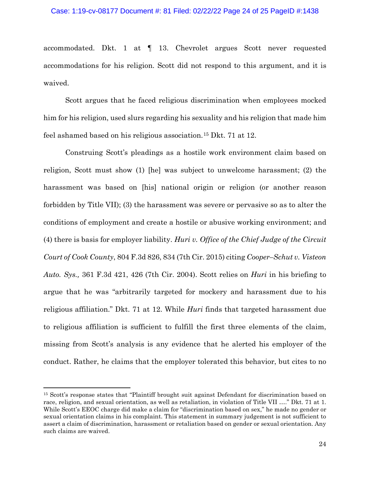#### Case: 1:19-cv-08177 Document #: 81 Filed: 02/22/22 Page 24 of 25 PageID #:1438

accommodated. Dkt. 1 at ¶ 13. Chevrolet argues Scott never requested accommodations for his religion. Scott did not respond to this argument, and it is waived.

Scott argues that he faced religious discrimination when employees mocked him for his religion, used slurs regarding his sexuality and his religion that made him feel ashamed based on his religious association.[15](#page-23-0) Dkt. 71 at 12.

Construing Scott's pleadings as a hostile work environment claim based on religion, Scott must show (1) [he] was subject to unwelcome harassment; (2) the harassment was based on [his] national origin or religion (or another reason forbidden by Title VII); (3) the harassment was severe or pervasive so as to alter the conditions of employment and create a hostile or abusive working environment; and (4) there is basis for employer liability. *Huri v. Office of the Chief Judge of the Circuit Court of Cook County*, 804 F.3d 826, 834 (7th Cir. 2015) citing *Cooper–Schut v. Visteon Auto. Sys.,* 361 F.3d 421, 426 (7th Cir. 2004). Scott relies on *Huri* in his briefing to argue that he was "arbitrarily targeted for mockery and harassment due to his religious affiliation." Dkt. 71 at 12. While *Huri* finds that targeted harassment due to religious affiliation is sufficient to fulfill the first three elements of the claim, missing from Scott's analysis is any evidence that he alerted his employer of the conduct. Rather, he claims that the employer tolerated this behavior, but cites to no

<span id="page-23-0"></span><sup>15</sup> Scott's response states that "Plaintiff brought suit against Defendant for discrimination based on race, religion, and sexual orientation, as well as retaliation, in violation of Title VII …." Dkt. 71 at 1. While Scott's EEOC charge did make a claim for "discrimination based on sex," he made no gender or sexual orientation claims in his complaint. This statement in summary judgement is not sufficient to assert a claim of discrimination, harassment or retaliation based on gender or sexual orientation. Any such claims are waived.